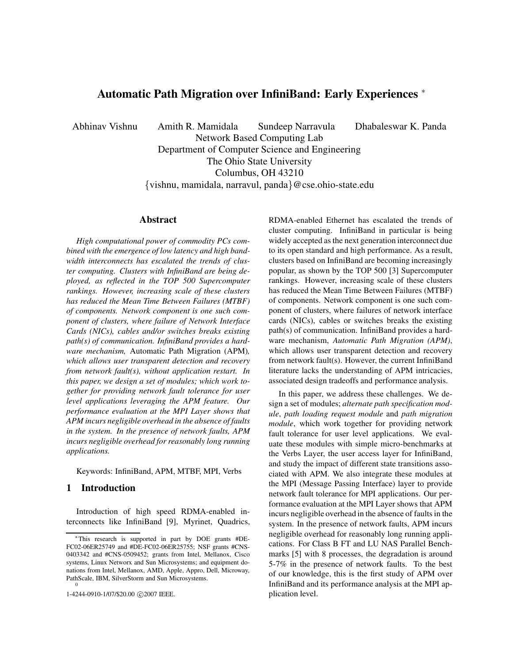# **Automatic Path Migration over InfiniBand: Early Experiences** ∗

Abhinav Vishnu Amith R. Mamidala Sundeep Narravula Dhabaleswar K. Panda Network Based Computing Lab Department of Computer Science and Engineering The Ohio State University Columbus, OH 43210 {vishnu, mamidala, narravul, panda}@cse.ohio-state.edu

#### **Abstract**

*High computational power of commodity PCs combined with the emergence of low latency and high bandwidth interconnects has escalated the trends of cluster computing. Clusters with InfiniBand are being deployed, as reflected in the TOP 500 Supercomputer rankings. However, increasing scale of these clusters has reduced the Mean Time Between Failures (MTBF) of components. Network component is one such component of clusters, where failure of Network Interface Cards (NICs), cables and/or switches breaks existing path(s) of communication. InfiniBand provides a hardware mechanism,* Automatic Path Migration (APM)*, which allows user transparent detection and recovery from network fault(s), without application restart. In this paper, we design a set of modules; which work together for providing network fault tolerance for user level applications leveraging the APM feature. Our performance evaluation at the MPI Layer shows that APM incurs negligible overhead in the absence of faults in the system. In the presence of network faults, APM incurs negligible overhead for reasonably long running applications.*

Keywords: InfiniBand, APM, MTBF, MPI, Verbs

# **1 Introduction**

Introduction of high speed RDMA-enabled interconnects like InfiniBand [9], Myrinet, Quadrics,

1-4244-0910-1/07/\$20.00 ©2007 IEEE.

RDMA-enabled Ethernet has escalated the trends of cluster computing. InfiniBand in particular is being widely accepted as the next generation interconnect due to its open standard and high performance. As a result, clusters based on InfiniBand are becoming increasingly popular, as shown by the TOP 500 [3] Supercomputer rankings. However, increasing scale of these clusters has reduced the Mean Time Between Failures (MTBF) of components. Network component is one such component of clusters, where failures of network interface cards (NICs), cables or switches breaks the existing path(s) of communication. InfiniBand provides a hardware mechanism, *Automatic Path Migration (APM)*, which allows user transparent detection and recovery from network fault(s). However, the current InfiniBand literature lacks the understanding of APM intricacies, associated design tradeoffs and performance analysis.

In this paper, we address these challenges. We design a set of modules; *alternate path specification module*, *path loading request module* and *path migration module*, which work together for providing network fault tolerance for user level applications. We evaluate these modules with simple micro-benchmarks at the Verbs Layer, the user access layer for InfiniBand, and study the impact of different state transitions associated with APM. We also integrate these modules at the MPI (Message Passing Interface) layer to provide network fault tolerance for MPI applications. Our performance evaluation at the MPI Layer shows that APM incurs negligible overhead in the absence of faults in the system. In the presence of network faults, APM incurs negligible overhead for reasonably long running applications. For Class B FT and LU NAS Parallel Benchmarks [5] with 8 processes, the degradation is around 5-7% in the presence of network faults. To the best of our knowledge, this is the first study of APM over InfiniBand and its performance analysis at the MPI application level.

<sup>∗</sup>This research is supported in part by DOE grants #DE-FC02-06ER25749 and #DE-FC02-06ER25755; NSF grants #CNS-0403342 and #CNS-0509452; grants from Intel, Mellanox, Cisco systems, Linux Networx and Sun Microsystems; and equipment donations from Intel, Mellanox, AMD, Apple, Appro, Dell, Microway, PathScale, IBM, SilverStorm and Sun Microsystems.  $\mathbf{0}$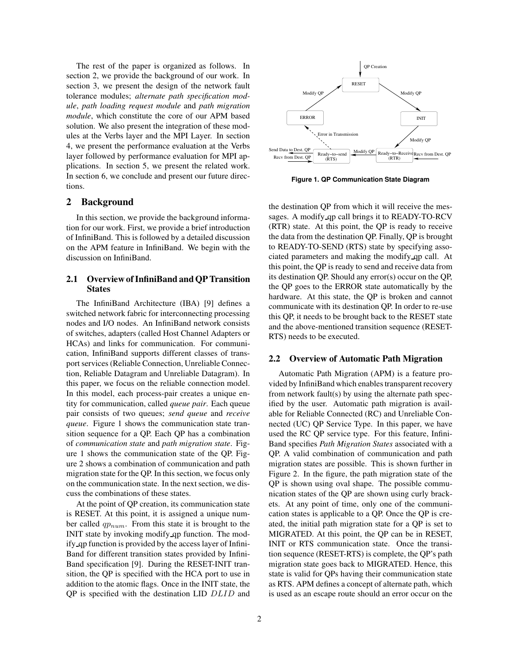The rest of the paper is organized as follows. In section 2, we provide the background of our work. In section 3, we present the design of the network fault tolerance modules; *alternate path specification module*, *path loading request module* and *path migration module*, which constitute the core of our APM based solution. We also present the integration of these modules at the Verbs layer and the MPI Layer. In section 4, we present the performance evaluation at the Verbs layer followed by performance evaluation for MPI applications. In section 5, we present the related work. In section 6, we conclude and present our future directions.

# **2 Background**

In this section, we provide the background information for our work. First, we provide a brief introduction of InfiniBand. This is followed by a detailed discussion on the APM feature in InfiniBand. We begin with the discussion on InfiniBand.

## **2.1 Overview of InfiniBand and QP Transition States**

The InfiniBand Architecture (IBA) [9] defines a switched network fabric for interconnecting processing nodes and I/O nodes. An InfiniBand network consists of switches, adapters (called Host Channel Adapters or HCAs) and links for communication. For communication, InfiniBand supports different classes of transport services (Reliable Connection, Unreliable Connection, Reliable Datagram and Unreliable Datagram). In this paper, we focus on the reliable connection model. In this model, each process-pair creates a unique entity for communication, called *queue pair*. Each queue pair consists of two queues; *send queue* and *receive queue*. Figure 1 shows the communication state transition sequence for a QP. Each QP has a combination of *communication state* and *path migration state*. Figure 1 shows the communication state of the QP. Figure 2 shows a combination of communication and path migration state for the QP. In this section, we focus only on the communication state. In the next section, we discuss the combinations of these states.

At the point of QP creation, its communication state is RESET. At this point, it is assigned a unique number called  $qp_{num}$ . From this state it is brought to the INIT state by invoking modify qp function. The modify qp function is provided by the access layer of Infini-Band for different transition states provided by Infini-Band specification [9]. During the RESET-INIT transition, the QP is specified with the HCA port to use in addition to the atomic flags. Once in the INIT state, the QP is specified with the destination LID DLID and



**Figure 1. QP Communication State Diagram**

the destination QP from which it will receive the messages. A modify qp call brings it to READY-TO-RCV (RTR) state. At this point, the QP is ready to receive the data from the destination QP. Finally, QP is brought to READY-TO-SEND (RTS) state by specifying associated parameters and making the modify qp call. At this point, the QP is ready to send and receive data from its destination QP. Should any error(s) occur on the QP, the QP goes to the ERROR state automatically by the hardware. At this state, the QP is broken and cannot communicate with its destination QP. In order to re-use this QP, it needs to be brought back to the RESET state and the above-mentioned transition sequence (RESET-RTS) needs to be executed.

#### **2.2 Overview of Automatic Path Migration**

Automatic Path Migration (APM) is a feature provided by InfiniBand which enables transparent recovery from network fault(s) by using the alternate path specified by the user. Automatic path migration is available for Reliable Connected (RC) and Unreliable Connected (UC) QP Service Type. In this paper, we have used the RC QP service type. For this feature, Infini-Band specifies *Path Migration States* associated with a QP. A valid combination of communication and path migration states are possible. This is shown further in Figure 2. In the figure, the path migration state of the QP is shown using oval shape. The possible communication states of the QP are shown using curly brackets. At any point of time, only one of the communication states is applicable to a QP. Once the QP is created, the initial path migration state for a QP is set to MIGRATED. At this point, the QP can be in RESET, INIT or RTS communication state. Once the transition sequence (RESET-RTS) is complete, the QP's path migration state goes back to MIGRATED. Hence, this state is valid for QPs having their communication state as RTS. APM defines a concept of alternate path, which is used as an escape route should an error occur on the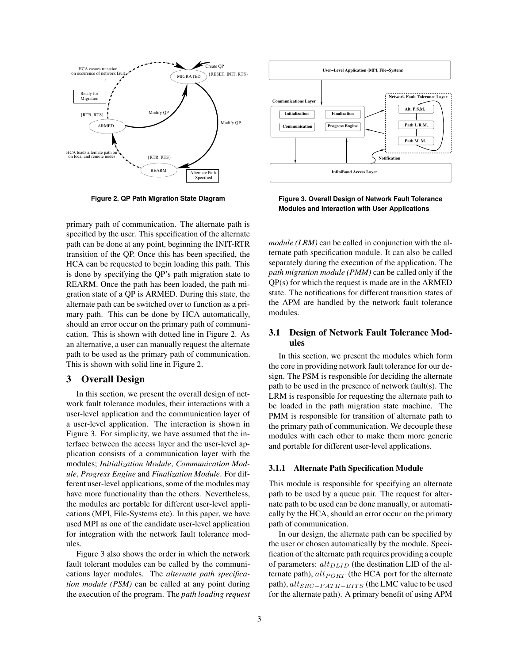

**Figure 2. QP Path Migration State Diagram**

primary path of communication. The alternate path is specified by the user. This specification of the alternate path can be done at any point, beginning the INIT-RTR transition of the QP. Once this has been specified, the HCA can be requested to begin loading this path. This is done by specifying the QP's path migration state to REARM. Once the path has been loaded, the path migration state of a QP is ARMED. During this state, the alternate path can be switched over to function as a primary path. This can be done by HCA automatically, should an error occur on the primary path of communication. This is shown with dotted line in Figure 2. As an alternative, a user can manually request the alternate path to be used as the primary path of communication. This is shown with solid line in Figure 2.

### **3 Overall Design**

In this section, we present the overall design of network fault tolerance modules, their interactions with a user-level application and the communication layer of a user-level application. The interaction is shown in Figure 3. For simplicity, we have assumed that the interface between the access layer and the user-level application consists of a communication layer with the modules; *Initialization Module*, *Communication Module*, *Progress Engine* and *Finalization Module*. For different user-level applications, some of the modules may have more functionality than the others. Nevertheless, the modules are portable for different user-level applications (MPI, File-Systems etc). In this paper, we have used MPI as one of the candidate user-level application for integration with the network fault tolerance modules.

Figure 3 also shows the order in which the network fault tolerant modules can be called by the communications layer modules. The *alternate path specification module (PSM)* can be called at any point during the execution of the program. The *path loading request*



**Figure 3. Overall Design of Network Fault Tolerance Modules and Interaction with User Applications**

*module (LRM)* can be called in conjunction with the alternate path specification module. It can also be called separately during the execution of the application. The *path migration module (PMM)* can be called only if the QP(s) for which the request is made are in the ARMED state. The notifications for different transition states of the APM are handled by the network fault tolerance modules.

# **3.1 Design of Network Fault Tolerance Modules**

In this section, we present the modules which form the core in providing network fault tolerance for our design. The PSM is responsible for deciding the alternate path to be used in the presence of network fault(s). The LRM is responsible for requesting the alternate path to be loaded in the path migration state machine. The PMM is responsible for transition of alternate path to the primary path of communication. We decouple these modules with each other to make them more generic and portable for different user-level applications.

#### **3.1.1 Alternate Path Specification Module**

This module is responsible for specifying an alternate path to be used by a queue pair. The request for alternate path to be used can be done manually, or automatically by the HCA, should an error occur on the primary path of communication.

In our design, the alternate path can be specified by the user or chosen automatically by the module. Specification of the alternate path requires providing a couple of parameters:  $alt_{DLID}$  (the destination LID of the alternate path),  $alt_{PORT}$  (the HCA port for the alternate path),  $alt_{SRC-PATH-BITS}$  (the LMC value to be used for the alternate path). A primary benefit of using APM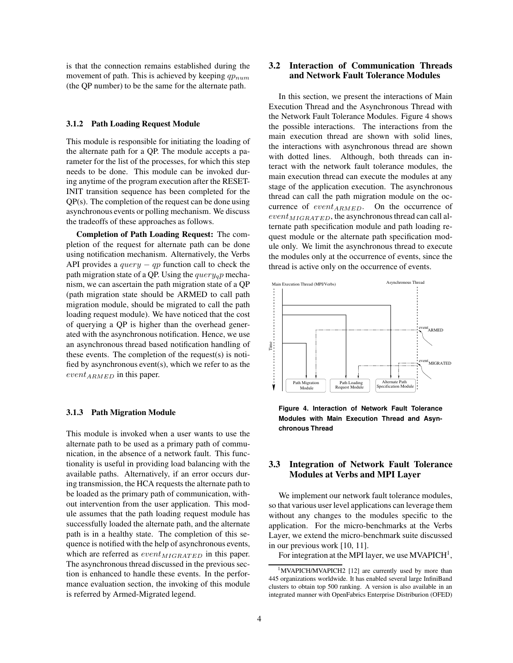is that the connection remains established during the movement of path. This is achieved by keeping  $qp_{num}$ (the QP number) to be the same for the alternate path.

#### **3.1.2 Path Loading Request Module**

This module is responsible for initiating the loading of the alternate path for a QP. The module accepts a parameter for the list of the processes, for which this step needs to be done. This module can be invoked during anytime of the program execution after the RESET-INIT transition sequence has been completed for the QP(s). The completion of the request can be done using asynchronous events or polling mechanism. We discuss the tradeoffs of these approaches as follows.

**Completion of Path Loading Request:** The completion of the request for alternate path can be done using notification mechanism. Alternatively, the Verbs API provides a  $query - qp$  function call to check the path migration state of a QP. Using the  $query_qp$  mechanism, we can ascertain the path migration state of a QP (path migration state should be ARMED to call path migration module, should be migrated to call the path loading request module). We have noticed that the cost of querying a QP is higher than the overhead generated with the asynchronous notification. Hence, we use an asynchronous thread based notification handling of these events. The completion of the request(s) is notified by asynchronous event(s), which we refer to as the  $event_{ARMED}$  in this paper.

#### **3.1.3 Path Migration Module**

This module is invoked when a user wants to use the alternate path to be used as a primary path of communication, in the absence of a network fault. This functionality is useful in providing load balancing with the available paths. Alternatively, if an error occurs during transmission, the HCA requests the alternate path to be loaded as the primary path of communication, without intervention from the user application. This module assumes that the path loading request module has successfully loaded the alternate path, and the alternate path is in a healthy state. The completion of this sequence is notified with the help of asynchronous events, which are referred as  $event_{MIGRATED}$  in this paper. The asynchronous thread discussed in the previous section is enhanced to handle these events. In the performance evaluation section, the invoking of this module is referred by Armed-Migrated legend.

# **3.2 Interaction of Communication Threads and Network Fault Tolerance Modules**

In this section, we present the interactions of Main Execution Thread and the Asynchronous Thread with the Network Fault Tolerance Modules. Figure 4 shows the possible interactions. The interactions from the main execution thread are shown with solid lines, the interactions with asynchronous thread are shown with dotted lines. Although, both threads can interact with the network fault tolerance modules, the main execution thread can execute the modules at any stage of the application execution. The asynchronous thread can call the path migration module on the occurrence of  $event_{ARMED}$ . On the occurrence of  $event_{MIGRATED}$ , the asynchronous thread can call alternate path specification module and path loading request module or the alternate path specification module only. We limit the asynchronous thread to execute the modules only at the occurrence of events, since the thread is active only on the occurrence of events.



**Figure 4. Interaction of Network Fault Tolerance Modules with Main Execution Thread and Asynchronous Thread**

# **3.3 Integration of Network Fault Tolerance Modules at Verbs and MPI Layer**

We implement our network fault tolerance modules, so that various user level applications can leverage them without any changes to the modules specific to the application. For the micro-benchmarks at the Verbs Layer, we extend the micro-benchmark suite discussed in our previous work [10, 11].

For integration at the MPI layer, we use MVAPICH<sup>1</sup>,

<sup>&</sup>lt;sup>1</sup>MVAPICH/MVAPICH2 [12] are currently used by more than 445 organizations worldwide. It has enabled several large InfiniBand clusters to obtain top 500 ranking. A version is also available in an integrated manner with OpenFabrics Enterprise Distriburion (OFED)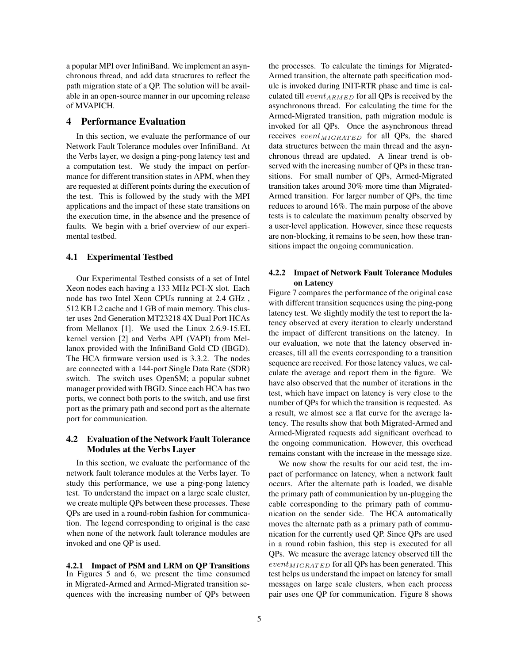a popular MPI over InfiniBand. We implement an asynchronous thread, and add data structures to reflect the path migration state of a QP. The solution will be available in an open-source manner in our upcoming release of MVAPICH.

# **4 Performance Evaluation**

In this section, we evaluate the performance of our Network Fault Tolerance modules over InfiniBand. At the Verbs layer, we design a ping-pong latency test and a computation test. We study the impact on performance for different transition states in APM, when they are requested at different points during the execution of the test. This is followed by the study with the MPI applications and the impact of these state transitions on the execution time, in the absence and the presence of faults. We begin with a brief overview of our experimental testbed.

## **4.1 Experimental Testbed**

Our Experimental Testbed consists of a set of Intel Xeon nodes each having a 133 MHz PCI-X slot. Each node has two Intel Xeon CPUs running at 2.4 GHz , 512 KB L2 cache and 1 GB of main memory. This cluster uses 2nd Generation MT23218 4X Dual Port HCAs from Mellanox [1]. We used the Linux 2.6.9-15.EL kernel version [2] and Verbs API (VAPI) from Mellanox provided with the InfiniBand Gold CD (IBGD). The HCA firmware version used is 3.3.2. The nodes are connected with a 144-port Single Data Rate (SDR) switch. The switch uses OpenSM; a popular subnet manager provided with IBGD. Since each HCA has two ports, we connect both ports to the switch, and use first port as the primary path and second port as the alternate port for communication.

## **4.2 Evaluation of the Network Fault Tolerance Modules at the Verbs Layer**

In this section, we evaluate the performance of the network fault tolerance modules at the Verbs layer. To study this performance, we use a ping-pong latency test. To understand the impact on a large scale cluster, we create multiple QPs between these processes. These QPs are used in a round-robin fashion for communication. The legend corresponding to original is the case when none of the network fault tolerance modules are invoked and one QP is used.

**4.2.1 Impact of PSM and LRM on QP Transitions** In Figures 5 and 6, we present the time consumed in Migrated-Armed and Armed-Migrated transition sequences with the increasing number of QPs between the processes. To calculate the timings for Migrated-Armed transition, the alternate path specification module is invoked during INIT-RTR phase and time is calculated till  $event_{ARMED}$  for all QPs is received by the asynchronous thread. For calculating the time for the Armed-Migrated transition, path migration module is invoked for all QPs. Once the asynchronous thread receives  $event_{MIGRATED}$  for all QPs, the shared data structures between the main thread and the asynchronous thread are updated. A linear trend is observed with the increasing number of QPs in these transitions. For small number of QPs, Armed-Migrated transition takes around 30% more time than Migrated-Armed transition. For larger number of QPs, the time reduces to around 16%. The main purpose of the above tests is to calculate the maximum penalty observed by a user-level application. However, since these requests are non-blocking, it remains to be seen, how these transitions impact the ongoing communication.

#### **4.2.2 Impact of Network Fault Tolerance Modules on Latency**

Figure 7 compares the performance of the original case with different transition sequences using the ping-pong latency test. We slightly modify the test to report the latency observed at every iteration to clearly understand the impact of different transitions on the latency. In our evaluation, we note that the latency observed increases, till all the events corresponding to a transition sequence are received. For those latency values, we calculate the average and report them in the figure. We have also observed that the number of iterations in the test, which have impact on latency is very close to the number of QPs for which the transition is requested. As a result, we almost see a flat curve for the average latency. The results show that both Migrated-Armed and Armed-Migrated requests add significant overhead to the ongoing communication. However, this overhead remains constant with the increase in the message size.

We now show the results for our acid test, the impact of performance on latency, when a network fault occurs. After the alternate path is loaded, we disable the primary path of communication by un-plugging the cable corresponding to the primary path of communication on the sender side. The HCA automatically moves the alternate path as a primary path of communication for the currently used QP. Since QPs are used in a round robin fashion, this step is executed for all QPs. We measure the average latency observed till the  $event_{MIGRATED}$  for all QPs has been generated. This test helps us understand the impact on latency for small messages on large scale clusters, when each process pair uses one QP for communication. Figure 8 shows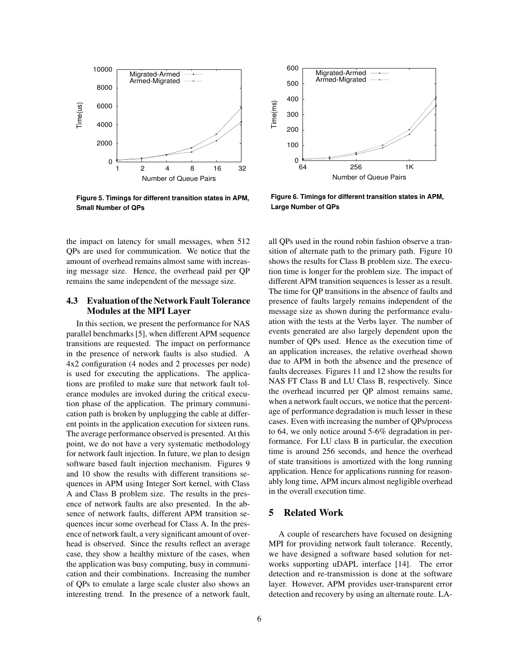

**Figure 5. Timings for different transition states in APM, Small Number of QPs**



**Figure 6. Timings for different transition states in APM, Large Number of QPs**

the impact on latency for small messages, when 512 QPs are used for communication. We notice that the amount of overhead remains almost same with increasing message size. Hence, the overhead paid per QP remains the same independent of the message size.

## **4.3 Evaluation of the Network Fault Tolerance Modules at the MPI Layer**

In this section, we present the performance for NAS parallel benchmarks [5], when different APM sequence transitions are requested. The impact on performance in the presence of network faults is also studied. A 4x2 configuration (4 nodes and 2 processes per node) is used for executing the applications. The applications are profiled to make sure that network fault tolerance modules are invoked during the critical execution phase of the application. The primary communication path is broken by unplugging the cable at different points in the application execution for sixteen runs. The average performance observed is presented. At this point, we do not have a very systematic methodology for network fault injection. In future, we plan to design software based fault injection mechanism. Figures 9 and 10 show the results with different transitions sequences in APM using Integer Sort kernel, with Class A and Class B problem size. The results in the presence of network faults are also presented. In the absence of network faults, different APM transition sequences incur some overhead for Class A. In the presence of network fault, a very significant amount of overhead is observed. Since the results reflect an average case, they show a healthy mixture of the cases, when the application was busy computing, busy in communication and their combinations. Increasing the number of QPs to emulate a large scale cluster also shows an interesting trend. In the presence of a network fault,

all QPs used in the round robin fashion observe a transition of alternate path to the primary path. Figure 10 shows the results for Class B problem size. The execution time is longer for the problem size. The impact of different APM transition sequences is lesser as a result. The time for QP transitions in the absence of faults and presence of faults largely remains independent of the message size as shown during the performance evaluation with the tests at the Verbs layer. The number of events generated are also largely dependent upon the number of QPs used. Hence as the execution time of an application increases, the relative overhead shown due to APM in both the absence and the presence of faults decreases. Figures 11 and 12 show the results for NAS FT Class B and LU Class B, respectively. Since the overhead incurred per QP almost remains same, when a network fault occurs, we notice that the percentage of performance degradation is much lesser in these cases. Even with increasing the number of QPs/process to 64, we only notice around 5-6% degradation in performance. For LU class B in particular, the execution time is around 256 seconds, and hence the overhead of state transitions is amortized with the long running application. Hence for applications running for reasonably long time, APM incurs almost negligible overhead in the overall execution time.

## **5 Related Work**

A couple of researchers have focused on designing MPI for providing network fault tolerance. Recently, we have designed a software based solution for networks supporting uDAPL interface [14]. The error detection and re-transmission is done at the software layer. However, APM provides user-transparent error detection and recovery by using an alternate route. LA-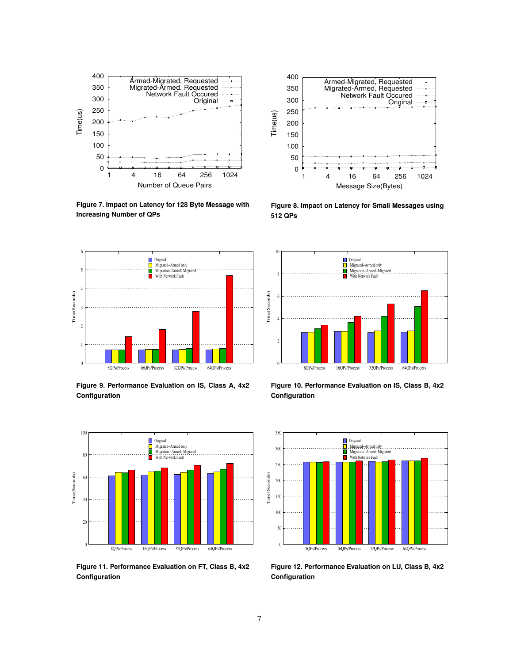

 0 50 100 150 200 250 300 350 400 1 4 16 64 256 1024 Time(us) Message Size(Bytes) Armed-Migrated, Requested Migrated-Armed, Requested Network Fault Occured Original

**Figure 7. Impact on Latency for 128 Byte Message with Increasing Number of QPs**



**Figure 9. Performance Evaluation on IS, Class A, 4x2 Configuration**



**Figure 11. Performance Evaluation on FT, Class B, 4x2 Configuration**

**Figure 8. Impact on Latency for Small Messages using 512 QPs**



**Figure 10. Performance Evaluation on IS, Class B, 4x2 Configuration**



**Figure 12. Performance Evaluation on LU, Class B, 4x2 Configuration**